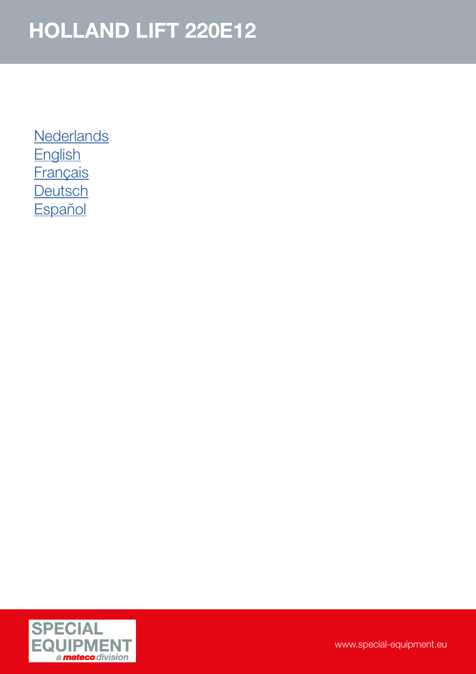**[Nederlands](#page-1-0) [English](#page-3-0) [Français](#page-3-0) [Deutsch](#page-4-0) [Español](#page-5-0)** 

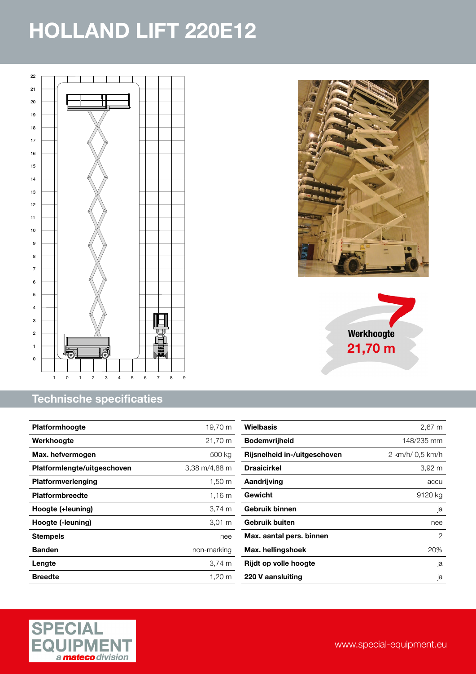<span id="page-1-0"></span>

#### Technische specificaties

| <b>Platformhoogte</b>       | 19,70 m            |
|-----------------------------|--------------------|
| Werkhoogte                  | 21,70 m            |
| Max. hefvermogen            | 500 kg             |
| Platformlengte/uitgeschoven | 3,38 m/4,88 m      |
| Platformverlenging          | $1,50 \text{ m}$   |
| <b>Platformbreedte</b>      | 1,16 m             |
| Hoogte (+leuning)           | $3,74 \, \text{m}$ |
| Hoogte (-leuning)           | $3,01 \; m$        |
| <b>Stempels</b>             | nee                |
| <b>Banden</b>               | non-marking        |
| Lengte                      | $3.74 \text{ m}$   |
| <b>Breedte</b>              | 1.20 m             |





| Wielbasis                    | 2,67 m           |
|------------------------------|------------------|
| <b>Bodemvrijheid</b>         | 148/235 mm       |
| Rijsnelheid in-/uitgeschoven | 2 km/h/ 0.5 km/h |
| <b>Draaicirkel</b>           | 3,92 m           |
| Aandrijving                  | accu             |
| Gewicht                      | 9120 kg          |
| Gebruik binnen               | ja               |
| Gebruik buiten               | nee              |
| Max. aantal pers. binnen     | 2                |
| Max. hellingshoek            | 20%              |
| Rijdt op volle hoogte        | ja               |
| 220 V aansluiting            | ja               |
|                              |                  |

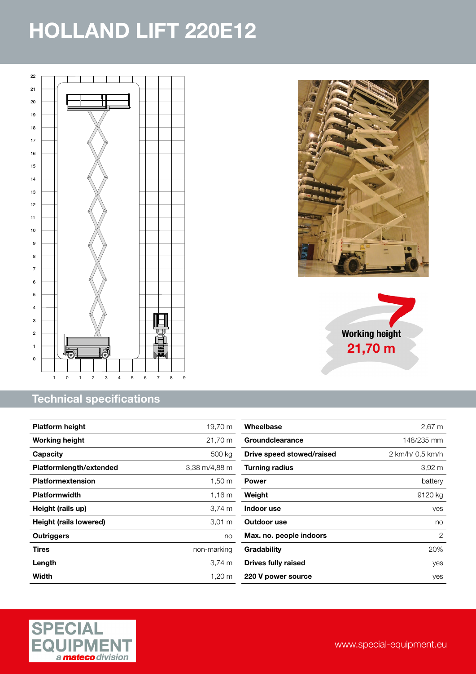

#### Technical specifications

| <b>Platform height</b>  | 19,70 m              |
|-------------------------|----------------------|
| <b>Working height</b>   | 21,70 m              |
| Capacity                | 500 kg               |
| Platformlength/extended | 3,38 m/4,88 m        |
| Platformextension       | $1,50 \; \mathrm{m}$ |
| <b>Platformwidth</b>    | 1.16 m               |
| Height (rails up)       | 3,74 m               |
| Height (rails lowered)  | $3,01 \; m$          |
| Outriggers              | no                   |
| Tires                   | non-marking          |
| Length                  | $3.74 \text{ m}$     |
| Width                   | $1,20 \; \mathrm{m}$ |







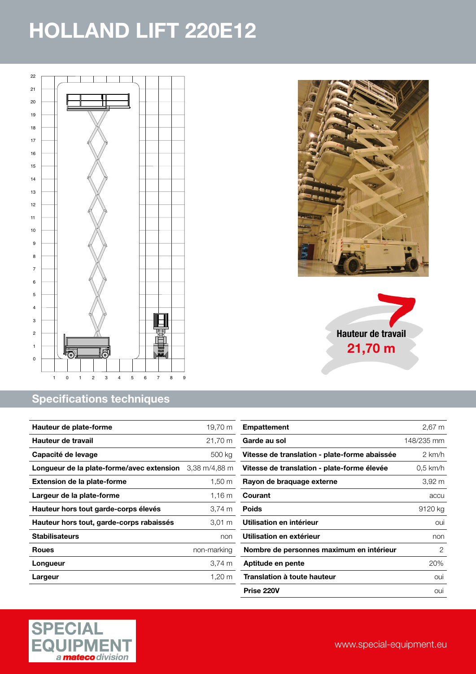<span id="page-3-0"></span>

#### Specifications techniques

| Hauteur de plate-forme                    | 19,70 m       |
|-------------------------------------------|---------------|
| Hauteur de travail                        | 21,70 m       |
| Capacité de levage                        | 500 kg        |
| Longueur de la plate-forme/avec extension | 3,38 m/4,88 m |
| <b>Extension de la plate-forme</b>        | 1,50 m        |
| Largeur de la plate-forme                 | 1.16 m        |
| Hauteur hors tout garde-corps élevés      | 3,74 m        |
| Hauteur hors tout, garde-corps rabaissés  | $3,01 \; m$   |
| <b>Stabilisateurs</b>                     | non           |
| <b>Roues</b>                              | non-marking   |
| Longueur                                  | 3,74 m        |
| Largeur                                   | 1,20 m        |







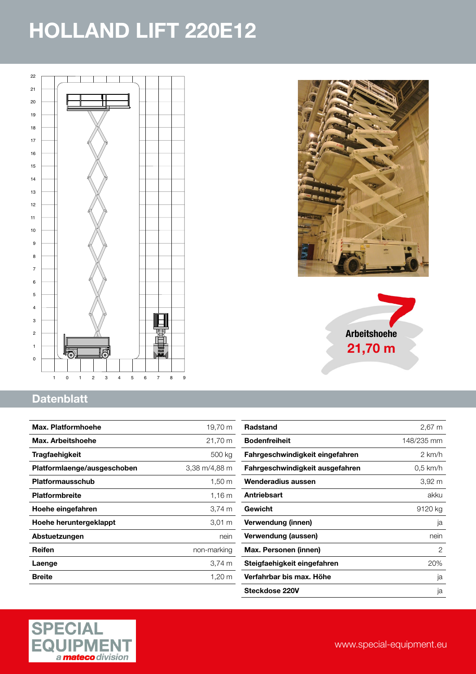<span id="page-4-0"></span>



Arbeitshoehe 21,70 m

#### **Datenblatt**

| Max. Platformhoehe          | 19,70 m          |
|-----------------------------|------------------|
| Max. Arbeitshoehe           | 21,70 m          |
| <b>Tragfaehigkeit</b>       | 500 kg           |
| Platformlaenge/ausgeschoben | 3,38 m/4,88 m    |
| <b>Platformausschub</b>     | $1,50 \text{ m}$ |
| <b>Platformbreite</b>       | $1,16 \; m$      |
| Hoehe eingefahren           | 3,74 m           |
| Hoehe heruntergeklappt      | $3,01 \; m$      |
| Abstuetzungen               | nein             |
| Reifen                      | non-marking      |
| Laenge                      | 3,74 m           |
| <b>Breite</b>               | 1,20 m           |

| <b>Radstand</b>                 | 2,67 m           |
|---------------------------------|------------------|
| <b>Bodenfreiheit</b>            | 148/235 mm       |
| Fahrgeschwindigkeit eingefahren | $2 \text{ km/h}$ |
| Fahrgeschwindigkeit ausgefahren | $0.5$ km/h       |
| Wenderadius aussen              | 3,92 m           |
| Antriebsart                     | akku             |
| Gewicht                         | 9120 kg          |
| Verwendung (innen)              | ja               |
| Verwendung (aussen)             | nein             |
| Max. Personen (innen)           | 2                |
| Steigfaehigkeit eingefahren     | 20%              |
| Verfahrbar bis max. Höhe        | ja               |
| Steckdose 220V                  | ja               |
|                                 |                  |